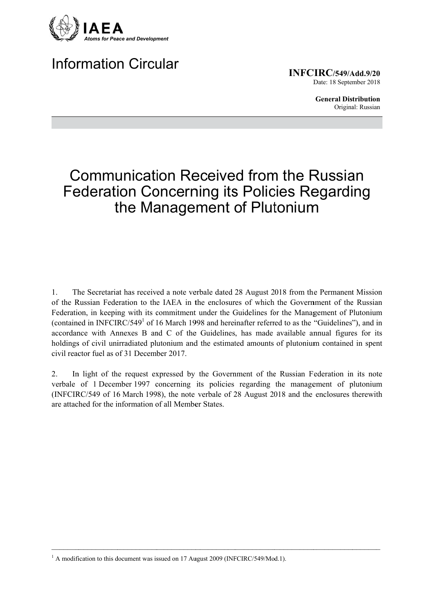

## **Information Circular**

 $INFCIRC/549/Add.9/20$ Date: 18 September 2018

> **General Distribution** Original: Russian

## **Communication Received from the Russian Federation Concerning its Policies Regarding** the Management of Plutonium

 $\mathbf{1}$ The Secretariat has received a note verbale dated 28 August 2018 from the Permanent Mission of the Russian Federation to the IAEA in the enclosures of which the Government of the Russian Federation, in keeping with its commitment under the Guidelines for the Management of Plutonium (contained in INFCIRC/549<sup>1</sup> of 16 March 1998 and hereinafter referred to as the "Guidelines"), and in accordance with Annexes B and C of the Guidelines, has made available annual figures for its holdings of civil unirradiated plutonium and the estimated amounts of plutonium contained in spent civil reactor fuel as of 31 December 2017

In light of the request expressed by the Government of the Russian Federation in its note 2. verbale of 1 December 1997 concerning its policies regarding the management of plutonium (INFCIRC/549 of 16 March 1998), the note verbale of 28 August 2018 and the enclosures therewith are attached for the information of all Member States

<sup>&</sup>lt;sup>1</sup> A modification to this document was issued on 17 August 2009 (INFCIRC/549/Mod.1).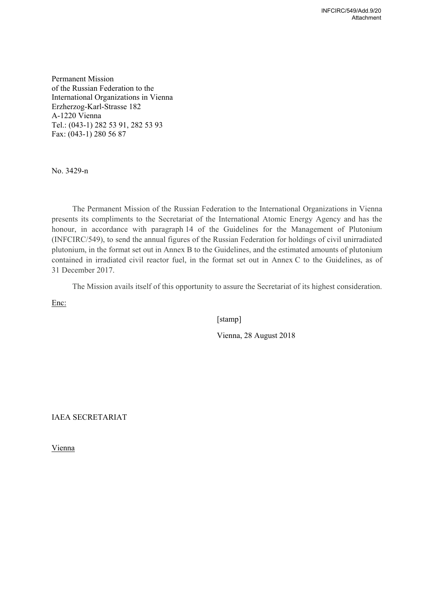Permanent Mission of the Russian Federation to the International Organizations in Vienna Erzherzog-Karl-Strasse 182 A-1220 Vienna Теl.: (043-1) 282 53 91, 282 53 93 Fах: (043-1) 280 56 87

No. 3429-n

The Permanent Mission of the Russian Federation to the International Organizations in Vienna presents its compliments to the Secretariat of the International Atomic Energy Agency and has the honour, in accordance with paragraph 14 of the Guidelines for the Management of Plutonium (INFCIRC/549), to send the annual figures of the Russian Federation for holdings of civil unirradiated plutonium, in the format set out in Annex B to the Guidelines, and the estimated amounts of plutonium contained in irradiated civil reactor fuel, in the format set out in Annex C to the Guidelines, as of 31 December 2017.

The Mission avails itself of this opportunity to assure the Secretariat of its highest consideration.

Enc:

[stamp]

Vienna, 28 August 2018

IAEA SECRETARIAT

Vienna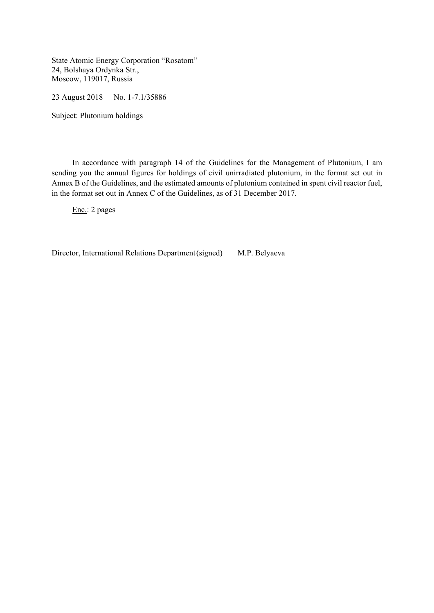State Atomic Energy Corporation "Rosatom" 24, Bolshaya Ordynka Str., Moscow, 119017, Russia

23 August 2018 No. 1-7.1/35886

Subject: Plutonium holdings

 In accordance with paragraph 14 of the Guidelines for the Management of Plutonium, I am sending you the annual figures for holdings of civil unirradiated plutonium, in the format set out in Annex B of the Guidelines, and the estimated amounts of plutonium contained in spent civil reactor fuel, in the format set out in Annex C of the Guidelines, as of 31 December 2017.

Enc.: 2 pages

Director, International Relations Department (signed) M.P. Belyaeva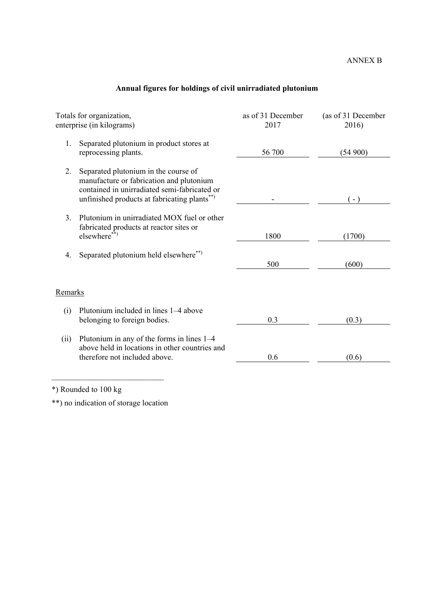|  |  | Annual figures for holdings of civil unirradiated plutonium |  |
|--|--|-------------------------------------------------------------|--|
|  |  |                                                             |  |

| as of 31 December<br>2017 | (as of 31 December<br>2016) |
|---------------------------|-----------------------------|
| 56 700                    | (54900)                     |
|                           | $(-)$                       |
| 1800                      | (1700)                      |
| 500                       | (600)                       |
|                           |                             |
| 0.3                       | (0.3)                       |
| 0.6                       | (0.6)                       |
|                           |                             |

\*) Rounded to 100 kg

\*\*) no indication of storage location

 $\mathcal{L}_\text{max}$